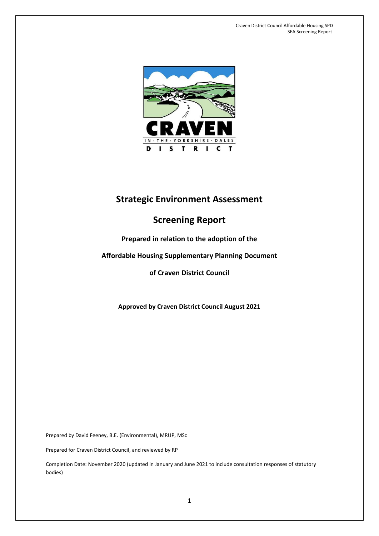

# **Strategic Environment Assessment**

# **Screening Report**

## **Prepared in relation to the adoption of the**

## **Affordable Housing Supplementary Planning Document**

## **of Craven District Council**

**Approved by Craven District Council August 2021**

Prepared by David Feeney, B.E. (Environmental), MRUP, MSc

Prepared for Craven District Council, and reviewed by RP

Completion Date: November 2020 (updated in January and June 2021 to include consultation responses of statutory bodies)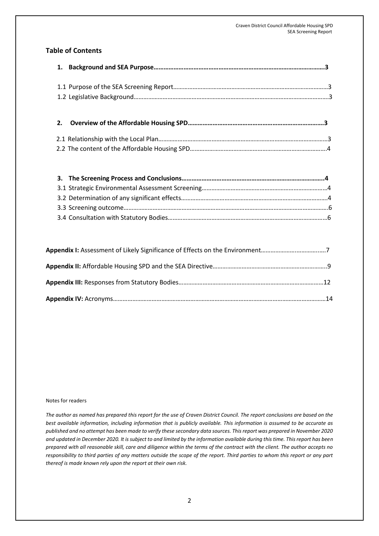### **Table of Contents**

 **2. Overview of the Affordable Housing SPD……………………………………………………………………….3**

#### Notes for readers

*The author as named has prepared this report for the use of Craven District Council. The report conclusions are based on the best available information, including information that is publicly available. This information is assumed to be accurate as published and no attempt has been made to verify these secondary data sources. This report was prepared in November 2020 and updated in December 2020. It is subject to and limited by the information available during this time. This report has been prepared with all reasonable skill, care and diligence within the terms of the contract with the client. The author accepts no responsibility to third parties of any matters outside the scope of the report. Third parties to whom this report or any part thereof is made known rely upon the report at their own risk.*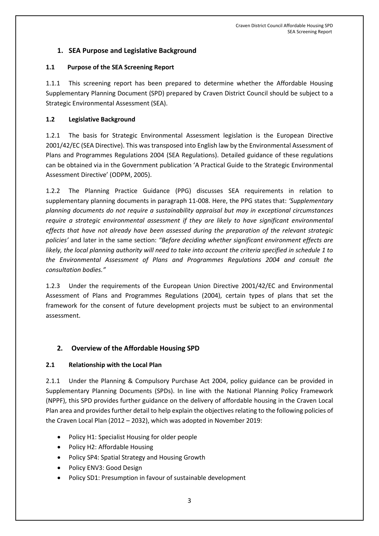## **1. SEA Purpose and Legislative Background**

#### **1.1 Purpose of the SEA Screening Report**

1.1.1 This screening report has been prepared to determine whether the Affordable Housing Supplementary Planning Document (SPD) prepared by Craven District Council should be subject to a Strategic Environmental Assessment (SEA).

#### **1.2 Legislative Background**

1.2.1 The basis for Strategic Environmental Assessment legislation is the European Directive 2001/42/EC (SEA Directive). This was transposed into English law by the Environmental Assessment of Plans and Programmes Regulations 2004 (SEA Regulations). Detailed guidance of these regulations can be obtained via in the Government publication 'A Practical Guide to the Strategic Environmental Assessment Directive' (ODPM, 2005).

1.2.2 The Planning Practice Guidance (PPG) discusses SEA requirements in relation to supplementary planning documents in paragraph 11-008. Here, the PPG states that: *'Supplementary planning documents do not require a sustainability appraisal but may in exceptional circumstances require a strategic environmental assessment if they are likely to have significant environmental effects that have not already have been assessed during the preparation of the relevant strategic policies'* and later in the same section: *"Before deciding whether significant environment effects are likely, the local planning authority will need to take into account the criteria specified in schedule 1 to the Environmental Assessment of Plans and Programmes Regulations 2004 and consult the consultation bodies."*

1.2.3 Under the requirements of the European Union Directive 2001/42/EC and Environmental Assessment of Plans and Programmes Regulations (2004), certain types of plans that set the framework for the consent of future development projects must be subject to an environmental assessment.

### **2. Overview of the Affordable Housing SPD**

#### **2.1 Relationship with the Local Plan**

2.1.1 Under the Planning & Compulsory Purchase Act 2004, policy guidance can be provided in Supplementary Planning Documents (SPDs). In line with the National Planning Policy Framework (NPPF), this SPD provides further guidance on the delivery of affordable housing in the Craven Local Plan area and provides further detail to help explain the objectives relating to the following policies of the Craven Local Plan (2012 – 2032), which was adopted in November 2019:

- Policy H1: Specialist Housing for older people
- Policy H2: Affordable Housing
- Policy SP4: Spatial Strategy and Housing Growth
- Policy ENV3: Good Design
- Policy SD1: Presumption in favour of sustainable development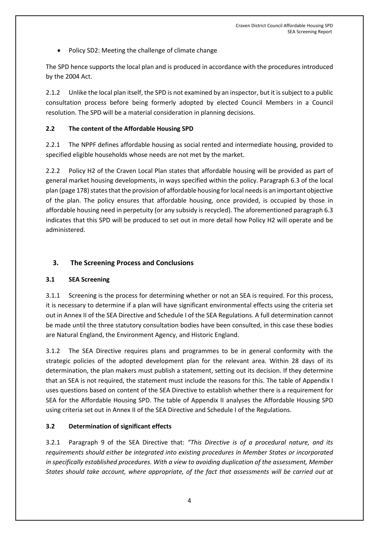• Policy SD2: Meeting the challenge of climate change

The SPD hence supports the local plan and is produced in accordance with the procedures introduced by the 2004 Act.

2.1.2 Unlike the local plan itself, the SPD is not examined by an inspector, but it is subject to a public consultation process before being formerly adopted by elected Council Members in a Council resolution. The SPD will be a material consideration in planning decisions.

#### **2.2 The content of the Affordable Housing SPD**

2.2.1 The NPPF defines affordable housing as social rented and intermediate housing, provided to specified eligible households whose needs are not met by the market.

2.2.2 Policy H2 of the Craven Local Plan states that affordable housing will be provided as part of general market housing developments, in ways specified within the policy. Paragraph 6.3 of the local plan (page 178) states that the provision of affordable housing for local needs is an important objective of the plan. The policy ensures that affordable housing, once provided, is occupied by those in affordable housing need in perpetuity (or any subsidy is recycled). The aforementioned paragraph 6.3 indicates that this SPD will be produced to set out in more detail how Policy H2 will operate and be administered.

### **3. The Screening Process and Conclusions**

### **3.1 SEA Screening**

3.1.1 Screening is the process for determining whether or not an SEA is required. For this process, it is necessary to determine if a plan will have significant environmental effects using the criteria set out in Annex II of the SEA Directive and Schedule I of the SEA Regulations. A full determination cannot be made until the three statutory consultation bodies have been consulted, in this case these bodies are Natural England, the Environment Agency, and Historic England.

3.1.2 The SEA Directive requires plans and programmes to be in general conformity with the strategic policies of the adopted development plan for the relevant area. Within 28 days of its determination, the plan makers must publish a statement, setting out its decision. If they determine that an SEA is not required, the statement must include the reasons for this. The table of Appendix I uses questions based on content of the SEA Directive to establish whether there is a requirement for SEA for the Affordable Housing SPD. The table of Appendix II analyses the Affordable Housing SPD using criteria set out in Annex II of the SEA Directive and Schedule I of the Regulations.

### **3.2 Determination of significant effects**

3.2.1 Paragraph 9 of the SEA Directive that: *"This Directive is of a procedural nature, and its requirements should either be integrated into existing procedures in Member States or incorporated in specifically established procedures. With a view to avoiding duplication of the assessment, Member States should take account, where appropriate, of the fact that assessments will be carried out at*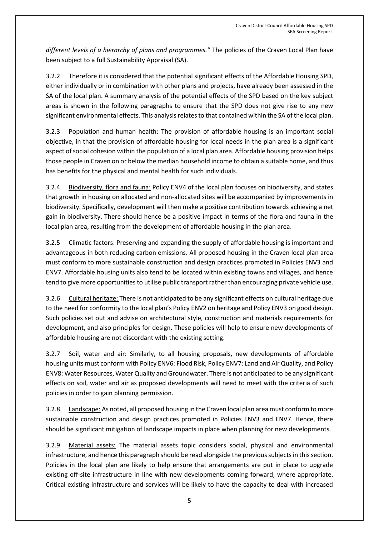*different levels of a hierarchy of plans and programmes."* The policies of the Craven Local Plan have been subject to a full Sustainability Appraisal (SA).

3.2.2 Therefore it is considered that the potential significant effects of the Affordable Housing SPD, either individually or in combination with other plans and projects, have already been assessed in the SA of the local plan. A summary analysis of the potential effects of the SPD based on the key subject areas is shown in the following paragraphs to ensure that the SPD does not give rise to any new significant environmental effects. This analysis relates to that contained within the SA of the local plan.

3.2.3 Population and human health: The provision of affordable housing is an important social objective, in that the provision of affordable housing for local needs in the plan area is a significant aspect of social cohesion within the population of a local plan area. Affordable housing provision helps those people in Craven on or below the median household income to obtain a suitable home, and thus has benefits for the physical and mental health for such individuals.

3.2.4 Biodiversity, flora and fauna: Policy ENV4 of the local plan focuses on biodiversity, and states that growth in housing on allocated and non-allocated sites will be accompanied by improvements in biodiversity. Specifically, development will then make a positive contribution towards achieving a net gain in biodiversity. There should hence be a positive impact in terms of the flora and fauna in the local plan area, resulting from the development of affordable housing in the plan area.

3.2.5 Climatic factors: Preserving and expanding the supply of affordable housing is important and advantageous in both reducing carbon emissions. All proposed housing in the Craven local plan area must conform to more sustainable construction and design practices promoted in Policies ENV3 and ENV7. Affordable housing units also tend to be located within existing towns and villages, and hence tend to give more opportunities to utilise public transport rather than encouraging private vehicle use.

3.2.6 Cultural heritage: There is not anticipated to be any significant effects on cultural heritage due to the need for conformity to the local plan's Policy ENV2 on heritage and Policy ENV3 on good design. Such policies set out and advise on architectural style, construction and materials requirements for development, and also principles for design. These policies will help to ensure new developments of affordable housing are not discordant with the existing setting.

3.2.7 Soil, water and air: Similarly, to all housing proposals, new developments of affordable housing units must conform with Policy ENV6: Flood Risk, Policy ENV7: Land and Air Quality, and Policy ENV8: Water Resources, Water Quality and Groundwater. There is not anticipated to be any significant effects on soil, water and air as proposed developments will need to meet with the criteria of such policies in order to gain planning permission.

3.2.8 Landscape: As noted, all proposed housing in the Craven local plan area must conform to more sustainable construction and design practices promoted in Policies ENV3 and ENV7. Hence, there should be significant mitigation of landscape impacts in place when planning for new developments.

3.2.9 Material assets: The material assets topic considers social, physical and environmental infrastructure, and hence this paragraph should be read alongside the previous subjects in this section. Policies in the local plan are likely to help ensure that arrangements are put in place to upgrade existing off-site infrastructure in line with new developments coming forward, where appropriate. Critical existing infrastructure and services will be likely to have the capacity to deal with increased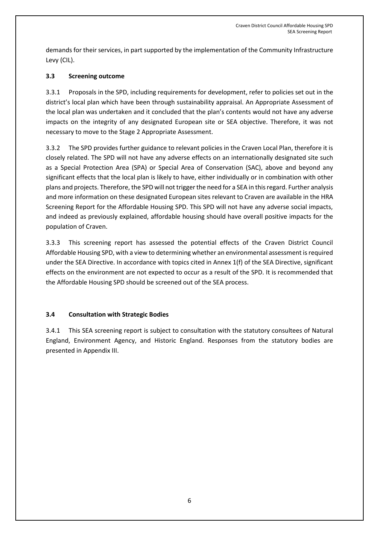demands for their services, in part supported by the implementation of the Community Infrastructure Levy (CIL).

### **3.3 Screening outcome**

3.3.1 Proposals in the SPD, including requirements for development, refer to policies set out in the district's local plan which have been through sustainability appraisal. An Appropriate Assessment of the local plan was undertaken and it concluded that the plan's contents would not have any adverse impacts on the integrity of any designated European site or SEA objective. Therefore, it was not necessary to move to the Stage 2 Appropriate Assessment.

3.3.2 The SPD provides further guidance to relevant policies in the Craven Local Plan, therefore it is closely related. The SPD will not have any adverse effects on an internationally designated site such as a Special Protection Area (SPA) or Special Area of Conservation (SAC), above and beyond any significant effects that the local plan is likely to have, either individually or in combination with other plans and projects. Therefore, the SPD will not trigger the need for a SEA in this regard. Further analysis and more information on these designated European sites relevant to Craven are available in the HRA Screening Report for the Affordable Housing SPD. This SPD will not have any adverse social impacts, and indeed as previously explained, affordable housing should have overall positive impacts for the population of Craven.

3.3.3 This screening report has assessed the potential effects of the Craven District Council Affordable Housing SPD, with a view to determining whether an environmental assessment is required under the SEA Directive. In accordance with topics cited in Annex 1(f) of the SEA Directive, significant effects on the environment are not expected to occur as a result of the SPD. It is recommended that the Affordable Housing SPD should be screened out of the SEA process.

#### **3.4 Consultation with Strategic Bodies**

3.4.1 This SEA screening report is subject to consultation with the statutory consultees of Natural England, Environment Agency, and Historic England. Responses from the statutory bodies are presented in Appendix III.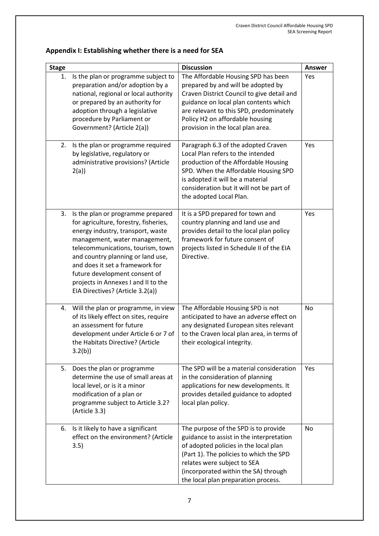|  | Appendix I: Establishing whether there is a need for SEA |  |
|--|----------------------------------------------------------|--|
|--|----------------------------------------------------------|--|

| <b>Stage</b> |                                                                                                                                                                                                                                                                                                                                                                           | <b>Discussion</b>                                                                                                                                                                                                                                                                   | Answer |
|--------------|---------------------------------------------------------------------------------------------------------------------------------------------------------------------------------------------------------------------------------------------------------------------------------------------------------------------------------------------------------------------------|-------------------------------------------------------------------------------------------------------------------------------------------------------------------------------------------------------------------------------------------------------------------------------------|--------|
| 1.           | Is the plan or programme subject to<br>preparation and/or adoption by a<br>national, regional or local authority<br>or prepared by an authority for<br>adoption through a legislative<br>procedure by Parliament or<br>Government? (Article 2(a))                                                                                                                         | The Affordable Housing SPD has been<br>prepared by and will be adopted by<br>Craven District Council to give detail and<br>guidance on local plan contents which<br>are relevant to this SPD, predominately<br>Policy H2 on affordable housing<br>provision in the local plan area. | Yes    |
| 2.           | Is the plan or programme required<br>by legislative, regulatory or<br>administrative provisions? (Article<br>2(a)                                                                                                                                                                                                                                                         | Paragraph 6.3 of the adopted Craven<br>Local Plan refers to the intended<br>production of the Affordable Housing<br>SPD. When the Affordable Housing SPD<br>is adopted it will be a material<br>consideration but it will not be part of<br>the adopted Local Plan.                 | Yes    |
| 3.           | Is the plan or programme prepared<br>for agriculture, forestry, fisheries,<br>energy industry, transport, waste<br>management, water management,<br>telecommunications, tourism, town<br>and country planning or land use,<br>and does it set a framework for<br>future development consent of<br>projects in Annexes I and II to the<br>EIA Directives? (Article 3.2(a)) | It is a SPD prepared for town and<br>country planning and land use and<br>provides detail to the local plan policy<br>framework for future consent of<br>projects listed in Schedule II of the EIA<br>Directive.                                                                    | Yes    |
| 4.           | Will the plan or programme, in view<br>of its likely effect on sites, require<br>an assessment for future<br>development under Article 6 or 7 of<br>the Habitats Directive? (Article<br>3.2(b)                                                                                                                                                                            | The Affordable Housing SPD is not<br>anticipated to have an adverse effect on<br>any designated European sites relevant<br>to the Craven local plan area, in terms of<br>their ecological integrity.                                                                                | No     |
| 5.           | Does the plan or programme<br>determine the use of small areas at<br>local level, or is it a minor<br>modification of a plan or<br>programme subject to Article 3.2?<br>(Article 3.3)                                                                                                                                                                                     | The SPD will be a material consideration<br>in the consideration of planning<br>applications for new developments. It<br>provides detailed guidance to adopted<br>local plan policy.                                                                                                | Yes    |
| 6.           | Is it likely to have a significant<br>effect on the environment? (Article<br>3.5)                                                                                                                                                                                                                                                                                         | The purpose of the SPD is to provide<br>guidance to assist in the interpretation<br>of adopted policies in the local plan<br>(Part 1). The policies to which the SPD<br>relates were subject to SEA<br>(incorporated within the SA) through<br>the local plan preparation process.  | No     |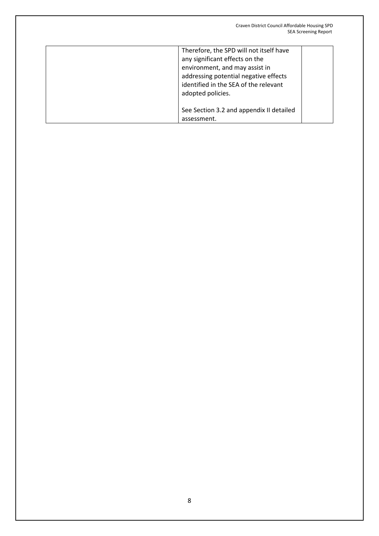| Therefore, the SPD will not itself have<br>any significant effects on the<br>environment, and may assist in<br>addressing potential negative effects<br>identified in the SEA of the relevant<br>adopted policies. |
|--------------------------------------------------------------------------------------------------------------------------------------------------------------------------------------------------------------------|
| See Section 3.2 and appendix II detailed<br>assessment.                                                                                                                                                            |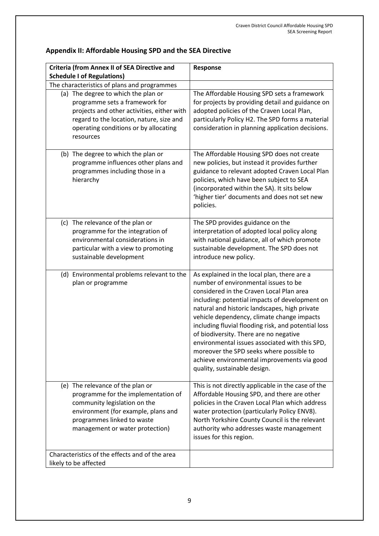| <b>Criteria (from Annex II of SEA Directive and</b>                                                                                                                                                                                                                  | Response                                                                                                                                                                                                                                                                                                                                                                                                                                                                                                                                                       |
|----------------------------------------------------------------------------------------------------------------------------------------------------------------------------------------------------------------------------------------------------------------------|----------------------------------------------------------------------------------------------------------------------------------------------------------------------------------------------------------------------------------------------------------------------------------------------------------------------------------------------------------------------------------------------------------------------------------------------------------------------------------------------------------------------------------------------------------------|
| <b>Schedule I of Regulations)</b>                                                                                                                                                                                                                                    |                                                                                                                                                                                                                                                                                                                                                                                                                                                                                                                                                                |
| The characteristics of plans and programmes<br>(a) The degree to which the plan or<br>programme sets a framework for<br>projects and other activities, either with<br>regard to the location, nature, size and<br>operating conditions or by allocating<br>resources | The Affordable Housing SPD sets a framework<br>for projects by providing detail and guidance on<br>adopted policies of the Craven Local Plan,<br>particularly Policy H2. The SPD forms a material<br>consideration in planning application decisions.                                                                                                                                                                                                                                                                                                          |
| (b) The degree to which the plan or<br>programme influences other plans and<br>programmes including those in a<br>hierarchy                                                                                                                                          | The Affordable Housing SPD does not create<br>new policies, but instead it provides further<br>guidance to relevant adopted Craven Local Plan<br>policies, which have been subject to SEA<br>(incorporated within the SA). It sits below<br>'higher tier' documents and does not set new<br>policies.                                                                                                                                                                                                                                                          |
| (c) The relevance of the plan or<br>programme for the integration of<br>environmental considerations in<br>particular with a view to promoting<br>sustainable development                                                                                            | The SPD provides guidance on the<br>interpretation of adopted local policy along<br>with national guidance, all of which promote<br>sustainable development. The SPD does not<br>introduce new policy.                                                                                                                                                                                                                                                                                                                                                         |
| (d) Environmental problems relevant to the<br>plan or programme                                                                                                                                                                                                      | As explained in the local plan, there are a<br>number of environmental issues to be<br>considered in the Craven Local Plan area<br>including: potential impacts of development on<br>natural and historic landscapes, high private<br>vehicle dependency, climate change impacts<br>including fluvial flooding risk, and potential loss<br>of biodiversity. There are no negative<br>environmental issues associated with this SPD,<br>moreover the SPD seeks where possible to<br>achieve environmental improvements via good<br>quality, sustainable design. |
| (e) The relevance of the plan or<br>programme for the implementation of<br>community legislation on the<br>environment (for example, plans and<br>programmes linked to waste<br>management or water protection)                                                      | This is not directly applicable in the case of the<br>Affordable Housing SPD, and there are other<br>policies in the Craven Local Plan which address<br>water protection (particularly Policy ENV8).<br>North Yorkshire County Council is the relevant<br>authority who addresses waste management<br>issues for this region.                                                                                                                                                                                                                                  |
| Characteristics of the effects and of the area<br>likely to be affected                                                                                                                                                                                              |                                                                                                                                                                                                                                                                                                                                                                                                                                                                                                                                                                |

# **Appendix II: Affordable Housing SPD and the SEA Directive**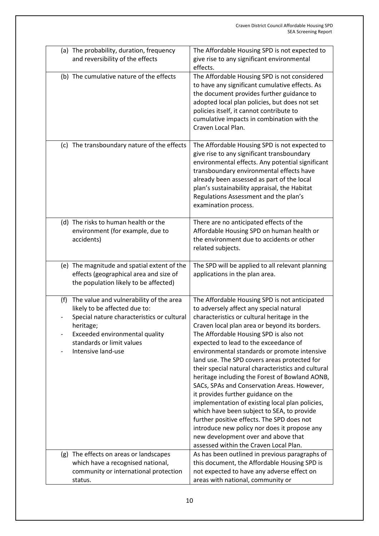| (a) The probability, duration, frequency<br>and reversibility of the effects                                                                                                                                                    | The Affordable Housing SPD is not expected to<br>give rise to any significant environmental<br>effects.                                                                                                                                                                                                                                                                                                                                                                                                                                                                                                                                                                                                                                                                                                                                                   |
|---------------------------------------------------------------------------------------------------------------------------------------------------------------------------------------------------------------------------------|-----------------------------------------------------------------------------------------------------------------------------------------------------------------------------------------------------------------------------------------------------------------------------------------------------------------------------------------------------------------------------------------------------------------------------------------------------------------------------------------------------------------------------------------------------------------------------------------------------------------------------------------------------------------------------------------------------------------------------------------------------------------------------------------------------------------------------------------------------------|
| (b) The cumulative nature of the effects                                                                                                                                                                                        | The Affordable Housing SPD is not considered<br>to have any significant cumulative effects. As<br>the document provides further guidance to<br>adopted local plan policies, but does not set<br>policies itself, it cannot contribute to<br>cumulative impacts in combination with the<br>Craven Local Plan.                                                                                                                                                                                                                                                                                                                                                                                                                                                                                                                                              |
| (c) The transboundary nature of the effects                                                                                                                                                                                     | The Affordable Housing SPD is not expected to<br>give rise to any significant transboundary<br>environmental effects. Any potential significant<br>transboundary environmental effects have<br>already been assessed as part of the local<br>plan's sustainability appraisal, the Habitat<br>Regulations Assessment and the plan's<br>examination process.                                                                                                                                                                                                                                                                                                                                                                                                                                                                                                |
| (d) The risks to human health or the<br>environment (for example, due to<br>accidents)                                                                                                                                          | There are no anticipated effects of the<br>Affordable Housing SPD on human health or<br>the environment due to accidents or other<br>related subjects.                                                                                                                                                                                                                                                                                                                                                                                                                                                                                                                                                                                                                                                                                                    |
| (e) The magnitude and spatial extent of the<br>effects (geographical area and size of<br>the population likely to be affected)                                                                                                  | The SPD will be applied to all relevant planning<br>applications in the plan area.                                                                                                                                                                                                                                                                                                                                                                                                                                                                                                                                                                                                                                                                                                                                                                        |
| The value and vulnerability of the area<br>(f)<br>likely to be affected due to:<br>Special nature characteristics or cultural<br>heritage;<br>Exceeded environmental quality<br>standards or limit values<br>Intensive land-use | The Affordable Housing SPD is not anticipated<br>to adversely affect any special natural<br>characteristics or cultural heritage in the<br>Craven local plan area or beyond its borders.<br>The Affordable Housing SPD is also not<br>expected to lead to the exceedance of<br>environmental standards or promote intensive<br>land use. The SPD covers areas protected for<br>their special natural characteristics and cultural<br>heritage including the Forest of Bowland AONB,<br>SACs, SPAs and Conservation Areas. However,<br>it provides further guidance on the<br>implementation of existing local plan policies,<br>which have been subject to SEA, to provide<br>further positive effects. The SPD does not<br>introduce new policy nor does it propose any<br>new development over and above that<br>assessed within the Craven Local Plan. |
| (g) The effects on areas or landscapes<br>which have a recognised national,<br>community or international protection<br>status.                                                                                                 | As has been outlined in previous paragraphs of<br>this document, the Affordable Housing SPD is<br>not expected to have any adverse effect on<br>areas with national, community or                                                                                                                                                                                                                                                                                                                                                                                                                                                                                                                                                                                                                                                                         |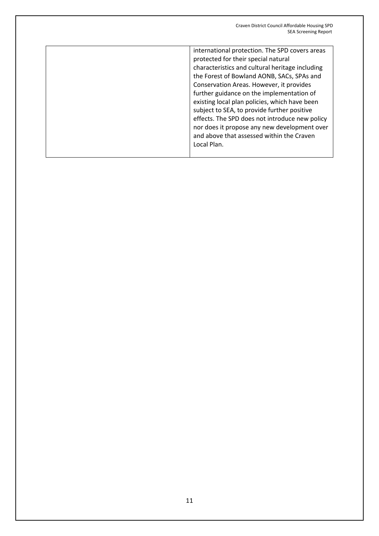| international protection. The SPD covers areas  |
|-------------------------------------------------|
| protected for their special natural             |
| characteristics and cultural heritage including |
| the Forest of Bowland AONB, SACs, SPAs and      |
| Conservation Areas. However, it provides        |
| further guidance on the implementation of       |
| existing local plan policies, which have been   |
| subject to SEA, to provide further positive     |
| effects. The SPD does not introduce new policy  |
| nor does it propose any new development over    |
| and above that assessed within the Craven       |
| Local Plan.                                     |
|                                                 |
|                                                 |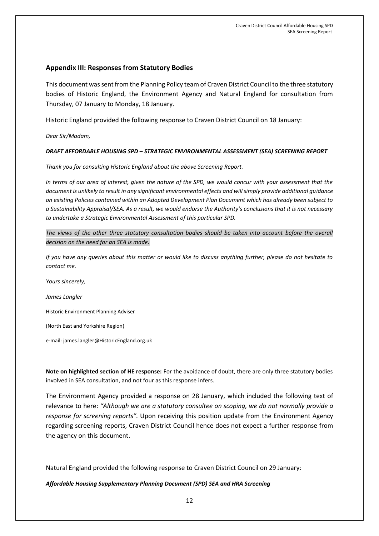#### **Appendix III: Responses from Statutory Bodies**

This document was sent from the Planning Policy team of Craven District Council to the three statutory bodies of Historic England, the Environment Agency and Natural England for consultation from Thursday, 07 January to Monday, 18 January.

Historic England provided the following response to Craven District Council on 18 January:

*Dear Sir/Madam,*

#### *DRAFT AFFORDABLE HOUSING SPD – STRATEGIC ENVIRONMENTAL ASSESSMENT (SEA) SCREENING REPORT*

*Thank you for consulting Historic England about the above Screening Report.*

*In terms of our area of interest, given the nature of the SPD, we would concur with your assessment that the document is unlikely to result in any significant environmental effects and will simply provide additional guidance on existing Policies contained within an Adopted Development Plan Document which has already been subject to a Sustainability Appraisal/SEA. As a result, we would endorse the Authority's conclusions that it is not necessary to undertake a Strategic Environmental Assessment of this particular SPD.*

*The views of the other three statutory consultation bodies should be taken into account before the overall decision on the need for an SEA is made.*

*If you have any queries about this matter or would like to discuss anything further, please do not hesitate to contact me.* 

*Yours sincerely,*

*James Langler*

Historic Environment Planning Adviser

(North East and Yorkshire Region)

e-mail[: james.langler@HistoricEngland.org.uk](mailto:james.langler@HistoricEngland.org.uk)

**Note on highlighted section of HE response:** For the avoidance of doubt, there are only three statutory bodies involved in SEA consultation, and not four as this response infers.

The Environment Agency provided a response on 28 January, which included the following text of relevance to here: *"Although we are a statutory consultee on scoping, we do not normally provide a response for screening reports".* Upon receiving this position update from the Environment Agency regarding screening reports, Craven District Council hence does not expect a further response from the agency on this document.

Natural England provided the following response to Craven District Council on 29 January:

*Affordable Housing Supplementary Planning Document (SPD) SEA and HRA Screening*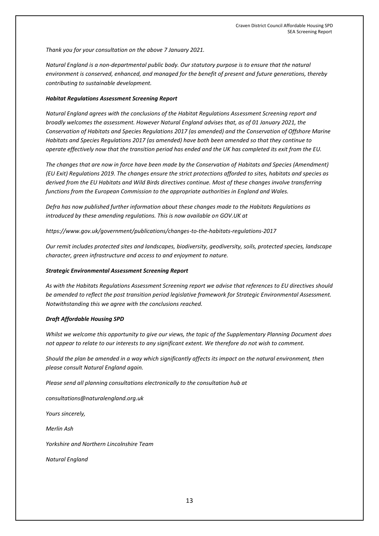*Thank you for your consultation on the above 7 January 2021.*

*Natural England is a non-departmental public body. Our statutory purpose is to ensure that the natural environment is conserved, enhanced, and managed for the benefit of present and future generations, thereby contributing to sustainable development.*

#### *Habitat Regulations Assessment Screening Report*

*Natural England agrees with the conclusions of the Habitat Regulations Assessment Screening report and broadly welcomes the assessment. However Natural England advises that, as of 01 January 2021, the Conservation of Habitats and Species Regulations 2017 (as amended) and the Conservation of Offshore Marine Habitats and Species Regulations 2017 (as amended) have both been amended so that they continue to operate effectively now that the transition period has ended and the UK has completed its exit from the EU.*

*The changes that are now in force have been made by the Conservation of Habitats and Species (Amendment) (EU Exit) Regulations 2019. The changes ensure the strict protections afforded to sites, habitats and species as derived from the EU Habitats and Wild Birds directives continue. Most of these changes involve transferring functions from the European Commission to the appropriate authorities in England and Wales.*

*Defra has now published further information about these changes made to the Habitats Regulations as introduced by these amending regulations. This is now available on GOV.UK at*

*<https://www.gov.uk/government/publications/changes-to-the-habitats-regulations-2017>*

*Our remit includes protected sites and landscapes, biodiversity, geodiversity, soils, protected species, landscape character, green infrastructure and access to and enjoyment to nature.*

#### *Strategic Environmental Assessment Screening Report*

*As with the Habitats Regulations Assessment Screening report we advise that references to EU directives should be amended to reflect the post transition period legislative framework for Strategic Environmental Assessment. Notwithstanding this we agree with the conclusions reached.*

#### *Draft Affordable Housing SPD*

*Whilst we welcome this opportunity to give our views, the topic of the Supplementary Planning Document does not appear to relate to our interests to any significant extent. We therefore do not wish to comment.* 

*Should the plan be amended in a way which significantly affects its impact on the natural environment, then please consult Natural England again.*

*Please send all planning consultations electronically to the consultation hub at*

*[consultations@naturalengland.org.uk](mailto:consultations@naturalengland.org.uk)*

*Yours sincerely,*

*Merlin Ash*

*Yorkshire and Northern Lincolnshire Team*

*Natural England*